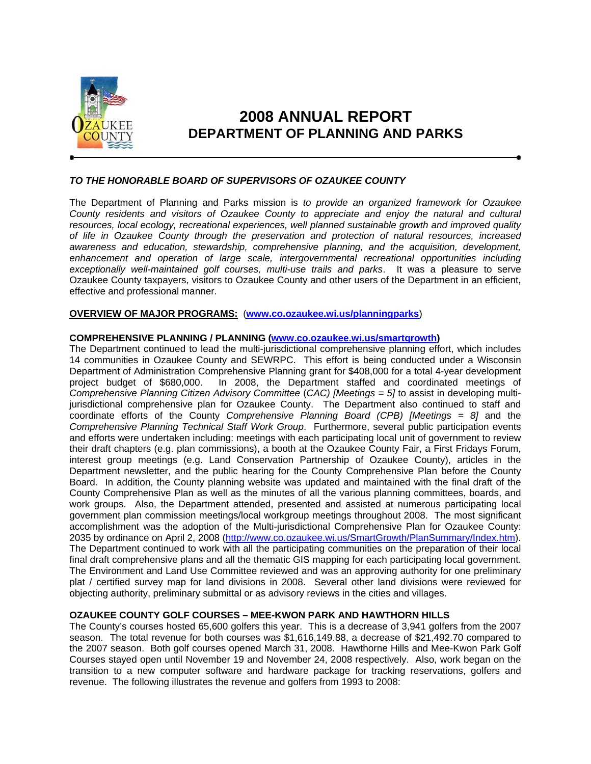

# **2008 ANNUAL REPORT DEPARTMENT OF PLANNING AND PARKS**

# *TO THE HONORABLE BOARD OF SUPERVISORS OF OZAUKEE COUNTY*

The Department of Planning and Parks mission is *to provide an organized framework for Ozaukee County residents and visitors of Ozaukee County to appreciate and enjoy the natural and cultural resources, local ecology, recreational experiences, well planned sustainable growth and improved quality of life in Ozaukee County through the preservation and protection of natural resources, increased awareness and education, stewardship, comprehensive planning, and the acquisition, development, enhancement and operation of large scale, intergovernmental recreational opportunities including exceptionally well-maintained golf courses, multi-use trails and parks*. It was a pleasure to serve Ozaukee County taxpayers, visitors to Ozaukee County and other users of the Department in an efficient, effective and professional manner.

## **OVERVIEW OF MAJOR PROGRAMS:** (**www.co.ozaukee.wi.us/planningparks**)

#### **COMPREHENSIVE PLANNING / PLANNING (www.co.ozaukee.wi.us/smartgrowth)**

The Department continued to lead the multi-jurisdictional comprehensive planning effort, which includes 14 communities in Ozaukee County and SEWRPC. This effort is being conducted under a Wisconsin Department of Administration Comprehensive Planning grant for \$408,000 for a total 4-year development project budget of \$680,000. In 2008, the Department staffed and coordinated meetings of *Comprehensive Planning Citizen Advisory Committee* (*CAC) [Meetings = 5]* to assist in developing multijurisdictional comprehensive plan for Ozaukee County. The Department also continued to staff and coordinate efforts of the County *Comprehensive Planning Board (CPB) [Meetings = 8]* and the *Comprehensive Planning Technical Staff Work Group*. Furthermore, several public participation events and efforts were undertaken including: meetings with each participating local unit of government to review their draft chapters (e.g. plan commissions), a booth at the Ozaukee County Fair, a First Fridays Forum, interest group meetings (e.g. Land Conservation Partnership of Ozaukee County), articles in the Department newsletter, and the public hearing for the County Comprehensive Plan before the County Board. In addition, the County planning website was updated and maintained with the final draft of the County Comprehensive Plan as well as the minutes of all the various planning committees, boards, and work groups. Also, the Department attended, presented and assisted at numerous participating local government plan commission meetings/local workgroup meetings throughout 2008. The most significant accomplishment was the adoption of the Multi-jurisdictional Comprehensive Plan for Ozaukee County: 2035 by ordinance on April 2, 2008 (http://www.co.ozaukee.wi.us/SmartGrowth/PlanSummary/Index.htm). The Department continued to work with all the participating communities on the preparation of their local final draft comprehensive plans and all the thematic GIS mapping for each participating local government. The Environment and Land Use Committee reviewed and was an approving authority for one preliminary plat / certified survey map for land divisions in 2008. Several other land divisions were reviewed for objecting authority, preliminary submittal or as advisory reviews in the cities and villages.

## **OZAUKEE COUNTY GOLF COURSES – MEE-KWON PARK AND HAWTHORN HILLS**

The County's courses hosted 65,600 golfers this year. This is a decrease of 3,941 golfers from the 2007 season. The total revenue for both courses was \$1,616,149.88, a decrease of \$21,492.70 compared to the 2007 season. Both golf courses opened March 31, 2008. Hawthorne Hills and Mee-Kwon Park Golf Courses stayed open until November 19 and November 24, 2008 respectively. Also, work began on the transition to a new computer software and hardware package for tracking reservations, golfers and revenue. The following illustrates the revenue and golfers from 1993 to 2008: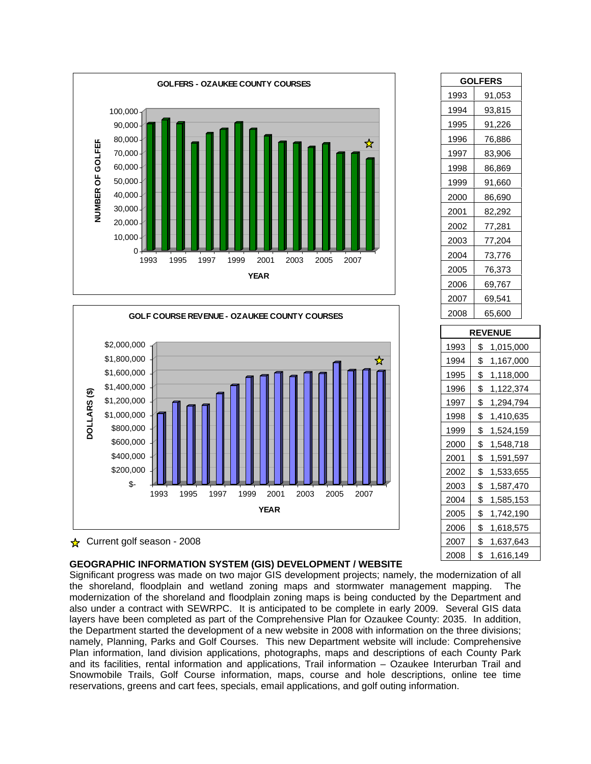

|                         |                                                                                                                                                   |      |      |      | GOLF COURSE REVENUE - OZAUKEE COUNTY COURSES |                     |      |      |      |   |
|-------------------------|---------------------------------------------------------------------------------------------------------------------------------------------------|------|------|------|----------------------------------------------|---------------------|------|------|------|---|
| DOLLARS <sup>(\$)</sup> | \$2,000,000<br>\$1,800,000<br>\$1,600,000<br>\$1,400,000<br>\$1,200,000<br>\$1,000,000<br>\$800,000<br>\$600,000<br>\$400,000<br>\$200,000<br>\$- | 1993 | 1995 | 1997 | 1999                                         | 2001<br><b>YEAR</b> | 2003 | 2005 | 2007 | ☆ |

| $\star$ Current golf season - 2008 |  |
|------------------------------------|--|
|                                    |  |

## **GEOGRAPHIC INFORMATION SYSTEM (GIS) DEVELOPMENT / WEBSITE**

Significant progress was made on two major GIS development projects; namely, the modernization of all the shoreland, floodplain and wetland zoning maps and stormwater management mapping. The modernization of the shoreland and floodplain zoning maps is being conducted by the Department and also under a contract with SEWRPC. It is anticipated to be complete in early 2009. Several GIS data layers have been completed as part of the Comprehensive Plan for Ozaukee County: 2035. In addition, the Department started the development of a new website in 2008 with information on the three divisions; namely, Planning, Parks and Golf Courses. This new Department website will include: Comprehensive Plan information, land division applications, photographs, maps and descriptions of each County Park and its facilities, rental information and applications, Trail information – Ozaukee Interurban Trail and Snowmobile Trails, Golf Course information, maps, course and hole descriptions, online tee time reservations, greens and cart fees, specials, email applications, and golf outing information.

| <b>GOLFERS</b> |                 |  |  |  |  |  |
|----------------|-----------------|--|--|--|--|--|
| 1993           | 91,053          |  |  |  |  |  |
| 1994           | 93,815          |  |  |  |  |  |
| 1995           | 91,226          |  |  |  |  |  |
| 1996           | 76,886          |  |  |  |  |  |
| 1997           | 83,906          |  |  |  |  |  |
| 1998           | 86,869          |  |  |  |  |  |
| 1999           | 91,660          |  |  |  |  |  |
| 2000           | 86,690          |  |  |  |  |  |
| 2001           | 82,292          |  |  |  |  |  |
| 2002           | 77,281          |  |  |  |  |  |
| 2003           | 77,204          |  |  |  |  |  |
| 2004           | 73,776          |  |  |  |  |  |
| 2005           | 76,373          |  |  |  |  |  |
| 2006           | 69,767          |  |  |  |  |  |
| 2007           | 69,541          |  |  |  |  |  |
| 2008           | 65,600          |  |  |  |  |  |
| <b>REVENUE</b> |                 |  |  |  |  |  |
| 1993           | \$1,015,000     |  |  |  |  |  |
| 1994           | \$<br>1,167,000 |  |  |  |  |  |
| 1995           | \$1,118,000     |  |  |  |  |  |
| 1996           | \$1,122,374     |  |  |  |  |  |
|                |                 |  |  |  |  |  |

| <b>REVENUE</b> |                 |  |  |  |  |  |
|----------------|-----------------|--|--|--|--|--|
| 1993           | \$<br>1,015,000 |  |  |  |  |  |
| 1994           | \$<br>1,167,000 |  |  |  |  |  |
| 1995           | \$<br>1,118,000 |  |  |  |  |  |
| 1996           | \$<br>1,122,374 |  |  |  |  |  |
| 1997           | \$<br>1,294,794 |  |  |  |  |  |
| 1998           | \$<br>1,410,635 |  |  |  |  |  |
| 1999           | \$<br>1,524,159 |  |  |  |  |  |
| 2000           | \$<br>1,548,718 |  |  |  |  |  |
| 2001           | \$<br>1,591,597 |  |  |  |  |  |
| 2002           | \$<br>1,533,655 |  |  |  |  |  |
| 2003           | \$<br>1,587,470 |  |  |  |  |  |
| 2004           | \$<br>1,585,153 |  |  |  |  |  |
| 2005           | \$<br>1,742,190 |  |  |  |  |  |
| 2006           | \$<br>1,618,575 |  |  |  |  |  |
| 2007           | \$<br>1,637,643 |  |  |  |  |  |
| 2008           | \$<br>1,616,149 |  |  |  |  |  |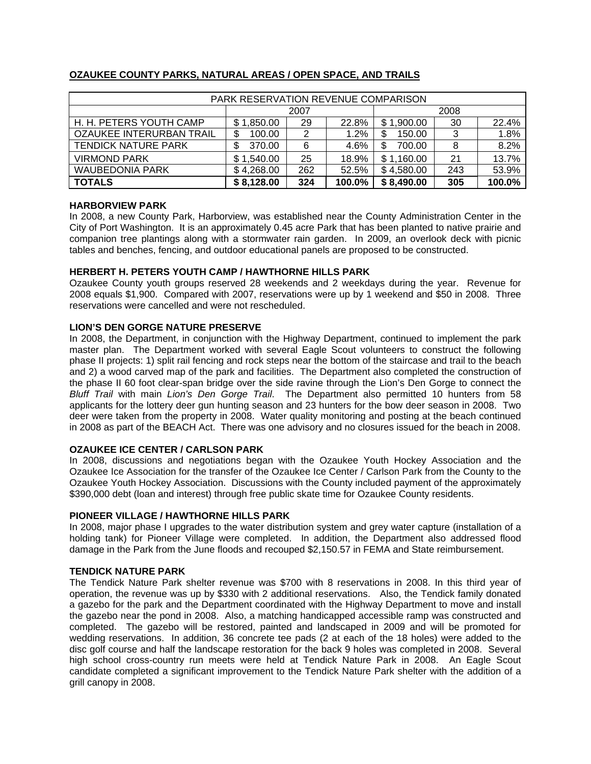| PARK RESERVATION REVENUE COMPARISON |            |     |        |             |     |        |  |
|-------------------------------------|------------|-----|--------|-------------|-----|--------|--|
|                                     | 2007       |     |        | 2008        |     |        |  |
| H. H. PETERS YOUTH CAMP             | \$1,850.00 | 29  | 22.8%  | \$1,900.00  | 30  | 22.4%  |  |
| OZAUKEE INTERURBAN TRAIL            | 100.00     | 2   | 1.2%   | 150.00<br>S | 3   | 1.8%   |  |
| <b>TENDICK NATURE PARK</b>          | 370.00     | 6   | 4.6%   | 700.00<br>S | 8   | 8.2%   |  |
| <b>VIRMOND PARK</b>                 | \$1,540.00 | 25  | 18.9%  | \$1,160.00  | 21  | 13.7%  |  |
| <b>WAUBEDONIA PARK</b>              | \$4,268.00 | 262 | 52.5%  | \$4,580.00  | 243 | 53.9%  |  |
| <b>TOTALS</b>                       | \$8,128.00 | 324 | 100.0% | \$8,490.00  | 305 | 100.0% |  |

# **OZAUKEE COUNTY PARKS, NATURAL AREAS / OPEN SPACE, AND TRAILS**

## **HARBORVIEW PARK**

In 2008, a new County Park, Harborview, was established near the County Administration Center in the City of Port Washington. It is an approximately 0.45 acre Park that has been planted to native prairie and companion tree plantings along with a stormwater rain garden. In 2009, an overlook deck with picnic tables and benches, fencing, and outdoor educational panels are proposed to be constructed.

## **HERBERT H. PETERS YOUTH CAMP / HAWTHORNE HILLS PARK**

Ozaukee County youth groups reserved 28 weekends and 2 weekdays during the year. Revenue for 2008 equals \$1,900. Compared with 2007, reservations were up by 1 weekend and \$50 in 2008. Three reservations were cancelled and were not rescheduled.

## **LION'S DEN GORGE NATURE PRESERVE**

In 2008, the Department, in conjunction with the Highway Department, continued to implement the park master plan. The Department worked with several Eagle Scout volunteers to construct the following phase II projects: 1) split rail fencing and rock steps near the bottom of the staircase and trail to the beach and 2) a wood carved map of the park and facilities. The Department also completed the construction of the phase II 60 foot clear-span bridge over the side ravine through the Lion's Den Gorge to connect the *Bluff Trail* with main *Lion's Den Gorge Trail*. The Department also permitted 10 hunters from 58 applicants for the lottery deer gun hunting season and 23 hunters for the bow deer season in 2008. Two deer were taken from the property in 2008. Water quality monitoring and posting at the beach continued in 2008 as part of the BEACH Act. There was one advisory and no closures issued for the beach in 2008.

#### **OZAUKEE ICE CENTER / CARLSON PARK**

In 2008, discussions and negotiations began with the Ozaukee Youth Hockey Association and the Ozaukee Ice Association for the transfer of the Ozaukee Ice Center / Carlson Park from the County to the Ozaukee Youth Hockey Association. Discussions with the County included payment of the approximately \$390,000 debt (loan and interest) through free public skate time for Ozaukee County residents.

#### **PIONEER VILLAGE / HAWTHORNE HILLS PARK**

In 2008, major phase I upgrades to the water distribution system and grey water capture (installation of a holding tank) for Pioneer Village were completed. In addition, the Department also addressed flood damage in the Park from the June floods and recouped \$2,150.57 in FEMA and State reimbursement.

#### **TENDICK NATURE PARK**

The Tendick Nature Park shelter revenue was \$700 with 8 reservations in 2008. In this third year of operation, the revenue was up by \$330 with 2 additional reservations. Also, the Tendick family donated a gazebo for the park and the Department coordinated with the Highway Department to move and install the gazebo near the pond in 2008. Also, a matching handicapped accessible ramp was constructed and completed. The gazebo will be restored, painted and landscaped in 2009 and will be promoted for wedding reservations. In addition, 36 concrete tee pads (2 at each of the 18 holes) were added to the disc golf course and half the landscape restoration for the back 9 holes was completed in 2008. Several high school cross-country run meets were held at Tendick Nature Park in 2008. An Eagle Scout candidate completed a significant improvement to the Tendick Nature Park shelter with the addition of a grill canopy in 2008.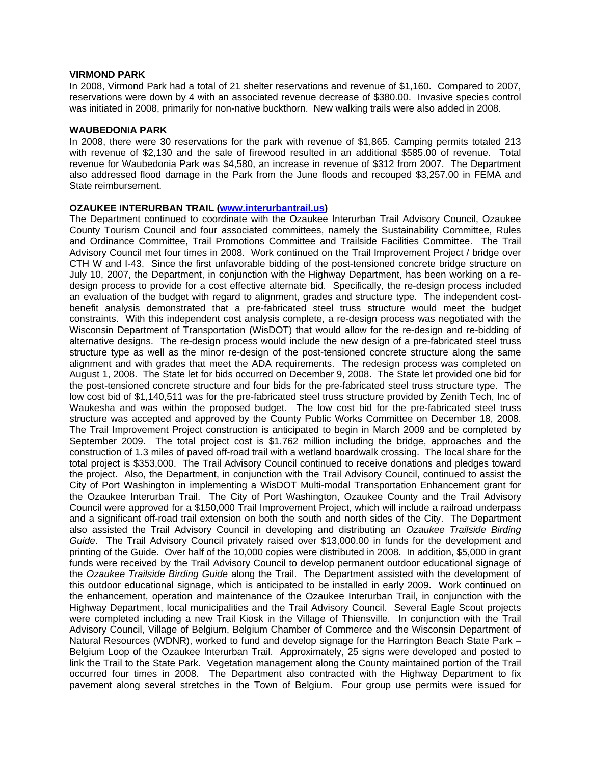#### **VIRMOND PARK**

In 2008, Virmond Park had a total of 21 shelter reservations and revenue of \$1,160. Compared to 2007, reservations were down by 4 with an associated revenue decrease of \$380.00. Invasive species control was initiated in 2008, primarily for non-native buckthorn. New walking trails were also added in 2008.

#### **WAUBEDONIA PARK**

In 2008, there were 30 reservations for the park with revenue of \$1,865. Camping permits totaled 213 with revenue of \$2,130 and the sale of firewood resulted in an additional \$585.00 of revenue. Total revenue for Waubedonia Park was \$4,580, an increase in revenue of \$312 from 2007. The Department also addressed flood damage in the Park from the June floods and recouped \$3,257.00 in FEMA and State reimbursement.

#### **OZAUKEE INTERURBAN TRAIL (www.interurbantrail.us)**

The Department continued to coordinate with the Ozaukee Interurban Trail Advisory Council, Ozaukee County Tourism Council and four associated committees, namely the Sustainability Committee, Rules and Ordinance Committee, Trail Promotions Committee and Trailside Facilities Committee. The Trail Advisory Council met four times in 2008. Work continued on the Trail Improvement Project / bridge over CTH W and I-43. Since the first unfavorable bidding of the post-tensioned concrete bridge structure on July 10, 2007, the Department, in conjunction with the Highway Department, has been working on a redesign process to provide for a cost effective alternate bid. Specifically, the re-design process included an evaluation of the budget with regard to alignment, grades and structure type. The independent costbenefit analysis demonstrated that a pre-fabricated steel truss structure would meet the budget constraints. With this independent cost analysis complete, a re-design process was negotiated with the Wisconsin Department of Transportation (WisDOT) that would allow for the re-design and re-bidding of alternative designs. The re-design process would include the new design of a pre-fabricated steel truss structure type as well as the minor re-design of the post-tensioned concrete structure along the same alignment and with grades that meet the ADA requirements. The redesign process was completed on August 1, 2008. The State let for bids occurred on December 9, 2008. The State let provided one bid for the post-tensioned concrete structure and four bids for the pre-fabricated steel truss structure type. The low cost bid of \$1,140,511 was for the pre-fabricated steel truss structure provided by Zenith Tech, Inc of Waukesha and was within the proposed budget. The low cost bid for the pre-fabricated steel truss structure was accepted and approved by the County Public Works Committee on December 18, 2008. The Trail Improvement Project construction is anticipated to begin in March 2009 and be completed by September 2009. The total project cost is \$1.762 million including the bridge, approaches and the construction of 1.3 miles of paved off-road trail with a wetland boardwalk crossing. The local share for the total project is \$353,000. The Trail Advisory Council continued to receive donations and pledges toward the project. Also, the Department, in conjunction with the Trail Advisory Council, continued to assist the City of Port Washington in implementing a WisDOT Multi-modal Transportation Enhancement grant for the Ozaukee Interurban Trail. The City of Port Washington, Ozaukee County and the Trail Advisory Council were approved for a \$150,000 Trail Improvement Project, which will include a railroad underpass and a significant off-road trail extension on both the south and north sides of the City. The Department also assisted the Trail Advisory Council in developing and distributing an *Ozaukee Trailside Birding Guide*. The Trail Advisory Council privately raised over \$13,000.00 in funds for the development and printing of the Guide. Over half of the 10,000 copies were distributed in 2008. In addition, \$5,000 in grant funds were received by the Trail Advisory Council to develop permanent outdoor educational signage of the *Ozaukee Trailside Birding Guide* along the Trail. The Department assisted with the development of this outdoor educational signage, which is anticipated to be installed in early 2009. Work continued on the enhancement, operation and maintenance of the Ozaukee Interurban Trail, in conjunction with the Highway Department, local municipalities and the Trail Advisory Council. Several Eagle Scout projects were completed including a new Trail Kiosk in the Village of Thiensville. In conjunction with the Trail Advisory Council, Village of Belgium, Belgium Chamber of Commerce and the Wisconsin Department of Natural Resources (WDNR), worked to fund and develop signage for the Harrington Beach State Park – Belgium Loop of the Ozaukee Interurban Trail. Approximately, 25 signs were developed and posted to link the Trail to the State Park. Vegetation management along the County maintained portion of the Trail occurred four times in 2008. The Department also contracted with the Highway Department to fix pavement along several stretches in the Town of Belgium. Four group use permits were issued for